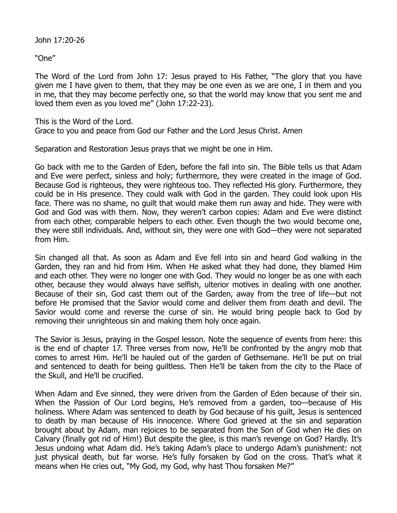John 17:20-26

"One"

The Word of the Lord from John 17: Jesus prayed to His Father, "The glory that you have given me I have given to them, that they may be one even as we are one, I in them and you in me, that they may become perfectly one, so that the world may know that you sent me and loved them even as you loved me" (John 17:22-23).

This is the Word of the Lord. Grace to you and peace from God our Father and the Lord Jesus Christ. Amen

Separation and Restoration Jesus prays that we might be one in Him.

Go back with me to the Garden of Eden, before the fall into sin. The Bible tells us that Adam and Eve were perfect, sinless and holy; furthermore, they were created in the image of God. Because God is righteous, they were righteous too. They reflected His glory. Furthermore, they could be in His presence. They could walk with God in the garden. They could look upon His face. There was no shame, no guilt that would make them run away and hide. They were with God and God was with them. Now, they weren't carbon copies: Adam and Eve were distinct from each other, comparable helpers to each other. Even though the two would become one, they were still individuals. And, without sin, they were one with God—they were not separated from Him.

Sin changed all that. As soon as Adam and Eve fell into sin and heard God walking in the Garden, they ran and hid from Him. When He asked what they had done, they blamed Him and each other. They were no longer one with God. They would no longer be as one with each other, because they would always have selfish, ulterior motives in dealing with one another. Because of their sin, God cast them out of the Garden, away from the tree of life—but not before He promised that the Savior would come and deliver them from death and devil. The Savior would come and reverse the curse of sin. He would bring people back to God by removing their unrighteous sin and making them holy once again.

The Savior is Jesus, praying in the Gospel lesson. Note the sequence of events from here: this is the end of chapter 17. Three verses from now, He'll be confronted by the angry mob that comes to arrest Him. He'll be hauled out of the garden of Gethsemane. He'll be put on trial and sentenced to death for being guiltless. Then He'll be taken from the city to the Place of the Skull, and He'll be crucified.

When Adam and Eve sinned, they were driven from the Garden of Eden because of their sin. When the Passion of Our Lord begins, He's removed from a garden, too-because of His holiness. Where Adam was sentenced to death by God because of his guilt, Jesus is sentenced to death by man because of His innocence. Where God grieved at the sin and separation brought about by Adam, man rejoices to be separated from the Son of God when He dies on Calvary (finally got rid of Him!) But despite the glee, is this man's revenge on God? Hardly. It's Jesus undoing what Adam did. He's taking Adam's place to undergo Adam's punishment: not just physical death, but far worse. He's fully forsaken by God on the cross. That's what it means when He cries out, "My God, my God, why hast Thou forsaken Me?"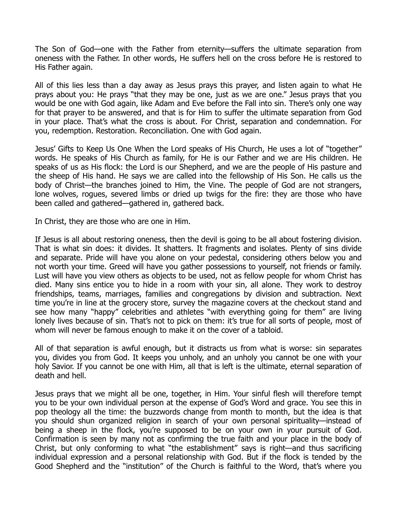The Son of God—one with the Father from eternity—suffers the ultimate separation from oneness with the Father. In other words, He suffers hell on the cross before He is restored to His Father again.

All of this lies less than a day away as Jesus prays this prayer, and listen again to what He prays about you: He prays "that they may be one, just as we are one." Jesus prays that you would be one with God again, like Adam and Eve before the Fall into sin. There's only one way for that prayer to be answered, and that is for Him to suffer the ultimate separation from God in your place. That's what the cross is about. For Christ, separation and condemnation. For you, redemption. Restoration. Reconciliation. One with God again.

Jesus' Gifts to Keep Us One When the Lord speaks of His Church, He uses a lot of "together" words. He speaks of His Church as family, for He is our Father and we are His children. He speaks of us as His flock: the Lord is our Shepherd, and we are the people of His pasture and the sheep of His hand. He says we are called into the fellowship of His Son. He calls us the body of Christ—the branches joined to Him, the Vine. The people of God are not strangers, lone wolves, rogues, severed limbs or dried up twigs for the fire: they are those who have been called and gathered—gathered in, gathered back.

In Christ, they are those who are one in Him.

If Jesus is all about restoring oneness, then the devil is going to be all about fostering division. That is what sin does: it divides. It shatters. It fragments and isolates. Plenty of sins divide and separate. Pride will have you alone on your pedestal, considering others below you and not worth your time. Greed will have you gather possessions to yourself, not friends or family. Lust will have you view others as objects to be used, not as fellow people for whom Christ has died. Many sins entice you to hide in a room with your sin, all alone. They work to destroy friendships, teams, marriages, families and congregations by division and subtraction. Next time you're in line at the grocery store, survey the magazine covers at the checkout stand and see how many "happy" celebrities and athletes "with everything going for them" are living lonely lives because of sin. That's not to pick on them: it's true for all sorts of people, most of whom will never be famous enough to make it on the cover of a tabloid.

All of that separation is awful enough, but it distracts us from what is worse: sin separates you, divides you from God. It keeps you unholy, and an unholy you cannot be one with your holy Savior. If you cannot be one with Him, all that is left is the ultimate, eternal separation of death and hell.

Jesus prays that we might all be one, together, in Him. Your sinful flesh will therefore tempt you to be your own individual person at the expense of God's Word and grace. You see this in pop theology all the time: the buzzwords change from month to month, but the idea is that you should shun organized religion in search of your own personal spirituality—instead of being a sheep in the flock, you're supposed to be on your own in your pursuit of God. Confirmation is seen by many not as confirming the true faith and your place in the body of Christ, but only conforming to what "the establishment" says is right—and thus sacrificing individual expression and a personal relationship with God. But if the flock is tended by the Good Shepherd and the "institution" of the Church is faithful to the Word, that's where you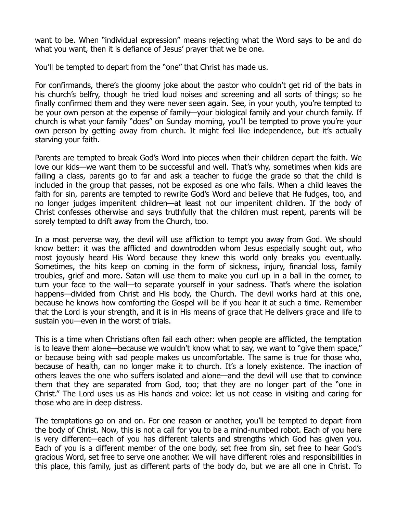want to be. When "individual expression" means rejecting what the Word says to be and do what you want, then it is defiance of Jesus' prayer that we be one.

You'll be tempted to depart from the "one" that Christ has made us.

For confirmands, there's the gloomy joke about the pastor who couldn't get rid of the bats in his church's belfry, though he tried loud noises and screening and all sorts of things; so he finally confirmed them and they were never seen again. See, in your youth, you're tempted to be your own person at the expense of family—your biological family and your church family. If church is what your family "does" on Sunday morning, you'll be tempted to prove you're your own person by getting away from church. It might feel like independence, but it's actually starving your faith.

Parents are tempted to break God's Word into pieces when their children depart the faith. We love our kids—we want them to be successful and well. That's why, sometimes when kids are failing a class, parents go to far and ask a teacher to fudge the grade so that the child is included in the group that passes, not be exposed as one who fails. When a child leaves the faith for sin, parents are tempted to rewrite God's Word and believe that He fudges, too, and no longer judges impenitent children—at least not our impenitent children. If the body of Christ confesses otherwise and says truthfully that the children must repent, parents will be sorely tempted to drift away from the Church, too.

In a most perverse way, the devil will use affliction to tempt you away from God. We should know better: it was the afflicted and downtrodden whom Jesus especially sought out, who most joyously heard His Word because they knew this world only breaks you eventually. Sometimes, the hits keep on coming in the form of sickness, injury, financial loss, family troubles, grief and more. Satan will use them to make you curl up in a ball in the corner, to turn your face to the wall—to separate yourself in your sadness. That's where the isolation happens—divided from Christ and His body, the Church. The devil works hard at this one, because he knows how comforting the Gospel will be if you hear it at such a time. Remember that the Lord is your strength, and it is in His means of grace that He delivers grace and life to sustain you—even in the worst of trials.

This is a time when Christians often fail each other: when people are afflicted, the temptation is to leave them alone—because we wouldn't know what to say, we want to "give them space," or because being with sad people makes us uncomfortable. The same is true for those who, because of health, can no longer make it to church. It's a lonely existence. The inaction of others leaves the one who suffers isolated and alone—and the devil will use that to convince them that they are separated from God, too; that they are no longer part of the "one in Christ." The Lord uses us as His hands and voice: let us not cease in visiting and caring for those who are in deep distress.

The temptations go on and on. For one reason or another, you'll be tempted to depart from the body of Christ. Now, this is not a call for you to be a mind-numbed robot. Each of you here is very different—each of you has different talents and strengths which God has given you. Each of you is a different member of the one body, set free from sin, set free to hear God's gracious Word, set free to serve one another. We will have different roles and responsibilities in this place, this family, just as different parts of the body do, but we are all one in Christ. To